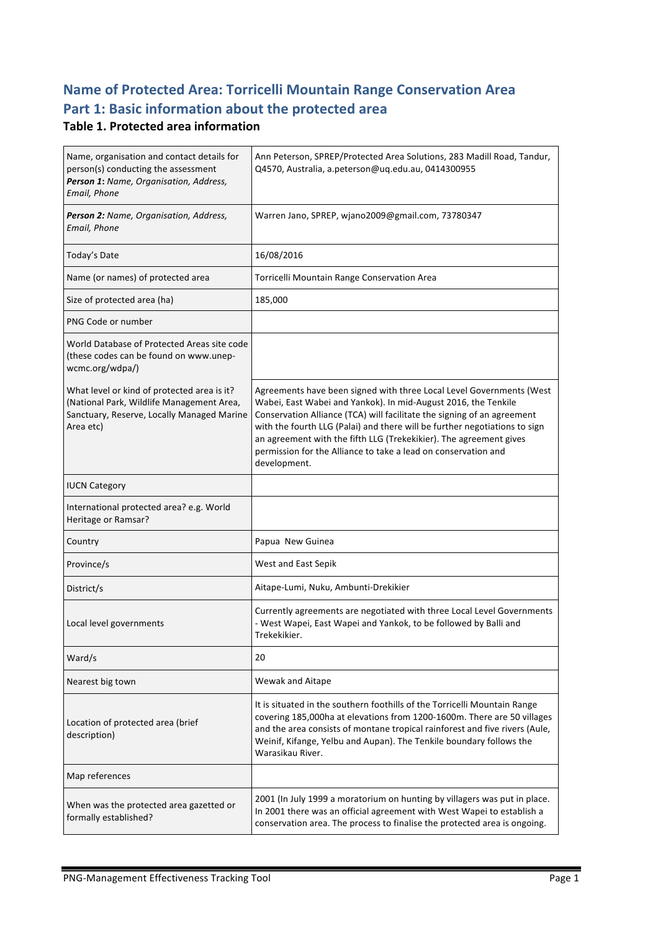# **Name of Protected Area: Torricelli Mountain Range Conservation Area** Part 1: Basic information about the protected area

#### **Table 1. Protected area information**

| Name, organisation and contact details for<br>person(s) conducting the assessment<br>Person 1: Name, Organisation, Address,<br>Email, Phone         | Ann Peterson, SPREP/Protected Area Solutions, 283 Madill Road, Tandur,<br>Q4570, Australia, a.peterson@uq.edu.au, 0414300955                                                                                                                                                                                                                                                                                                                            |
|-----------------------------------------------------------------------------------------------------------------------------------------------------|---------------------------------------------------------------------------------------------------------------------------------------------------------------------------------------------------------------------------------------------------------------------------------------------------------------------------------------------------------------------------------------------------------------------------------------------------------|
| Person 2: Name, Organisation, Address,<br>Email, Phone                                                                                              | Warren Jano, SPREP, wjano2009@gmail.com, 73780347                                                                                                                                                                                                                                                                                                                                                                                                       |
| Today's Date                                                                                                                                        | 16/08/2016                                                                                                                                                                                                                                                                                                                                                                                                                                              |
| Name (or names) of protected area                                                                                                                   | Torricelli Mountain Range Conservation Area                                                                                                                                                                                                                                                                                                                                                                                                             |
| Size of protected area (ha)                                                                                                                         | 185,000                                                                                                                                                                                                                                                                                                                                                                                                                                                 |
| PNG Code or number                                                                                                                                  |                                                                                                                                                                                                                                                                                                                                                                                                                                                         |
| World Database of Protected Areas site code<br>(these codes can be found on www.unep-<br>wcmc.org/wdpa/)                                            |                                                                                                                                                                                                                                                                                                                                                                                                                                                         |
| What level or kind of protected area is it?<br>(National Park, Wildlife Management Area,<br>Sanctuary, Reserve, Locally Managed Marine<br>Area etc) | Agreements have been signed with three Local Level Governments (West<br>Wabei, East Wabei and Yankok). In mid-August 2016, the Tenkile<br>Conservation Alliance (TCA) will facilitate the signing of an agreement<br>with the fourth LLG (Palai) and there will be further negotiations to sign<br>an agreement with the fifth LLG (Trekekikier). The agreement gives<br>permission for the Alliance to take a lead on conservation and<br>development. |
| <b>IUCN Category</b>                                                                                                                                |                                                                                                                                                                                                                                                                                                                                                                                                                                                         |
| International protected area? e.g. World<br>Heritage or Ramsar?                                                                                     |                                                                                                                                                                                                                                                                                                                                                                                                                                                         |
| Country                                                                                                                                             | Papua New Guinea                                                                                                                                                                                                                                                                                                                                                                                                                                        |
| Province/s                                                                                                                                          | West and East Sepik                                                                                                                                                                                                                                                                                                                                                                                                                                     |
| District/s                                                                                                                                          | Aitape-Lumi, Nuku, Ambunti-Drekikier                                                                                                                                                                                                                                                                                                                                                                                                                    |
| Local level governments                                                                                                                             | Currently agreements are negotiated with three Local Level Governments<br>- West Wapei, East Wapei and Yankok, to be followed by Balli and<br>Trekekikier.                                                                                                                                                                                                                                                                                              |
| Ward/s                                                                                                                                              | 20                                                                                                                                                                                                                                                                                                                                                                                                                                                      |
| Nearest big town                                                                                                                                    | Wewak and Aitape                                                                                                                                                                                                                                                                                                                                                                                                                                        |
| Location of protected area (brief<br>description)                                                                                                   | It is situated in the southern foothills of the Torricelli Mountain Range<br>covering 185,000ha at elevations from 1200-1600m. There are 50 villages<br>and the area consists of montane tropical rainforest and five rivers (Aule,<br>Weinif, Kifange, Yelbu and Aupan). The Tenkile boundary follows the<br>Warasikau River.                                                                                                                          |
| Map references                                                                                                                                      |                                                                                                                                                                                                                                                                                                                                                                                                                                                         |
| When was the protected area gazetted or<br>formally established?                                                                                    | 2001 (In July 1999 a moratorium on hunting by villagers was put in place.<br>In 2001 there was an official agreement with West Wapei to establish a<br>conservation area. The process to finalise the protected area is ongoing.                                                                                                                                                                                                                        |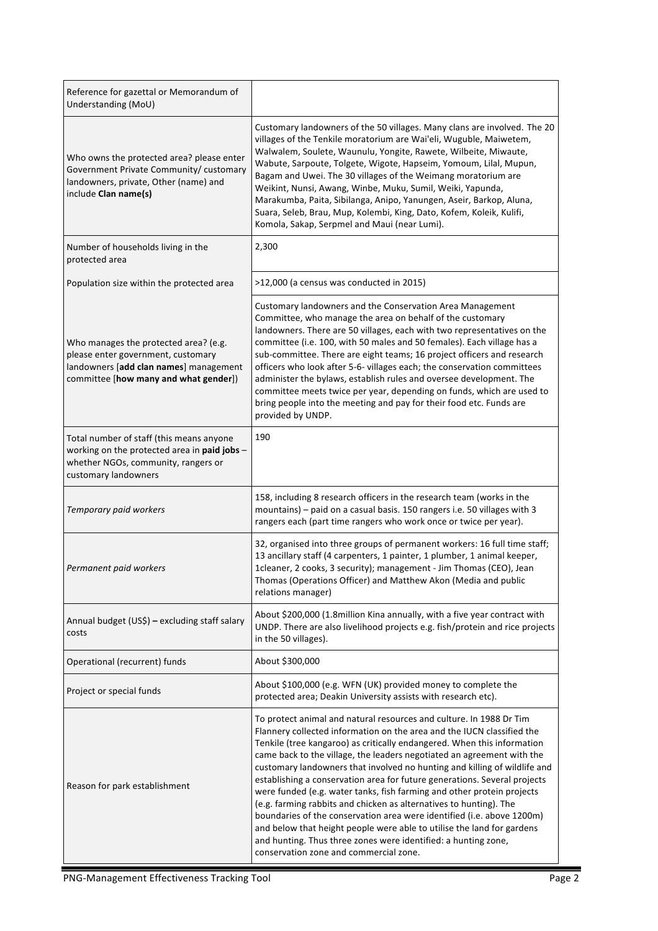| Reference for gazettal or Memorandum of<br>Understanding (MoU)                                                                                                 |                                                                                                                                                                                                                                                                                                                                                                                                                                                                                                                                                                                                                                                                                                                                                                                                                                                                              |
|----------------------------------------------------------------------------------------------------------------------------------------------------------------|------------------------------------------------------------------------------------------------------------------------------------------------------------------------------------------------------------------------------------------------------------------------------------------------------------------------------------------------------------------------------------------------------------------------------------------------------------------------------------------------------------------------------------------------------------------------------------------------------------------------------------------------------------------------------------------------------------------------------------------------------------------------------------------------------------------------------------------------------------------------------|
| Who owns the protected area? please enter<br>Government Private Community/ customary<br>landowners, private, Other (name) and<br>include Clan name(s)          | Customary landowners of the 50 villages. Many clans are involved. The 20<br>villages of the Tenkile moratorium are Wai'eli, Wuguble, Maiwetem,<br>Walwalem, Soulete, Waunulu, Yongite, Rawete, Wilbeite, Miwaute,<br>Wabute, Sarpoute, Tolgete, Wigote, Hapseim, Yomoum, Lilal, Mupun,<br>Bagam and Uwei. The 30 villages of the Weimang moratorium are<br>Weikint, Nunsi, Awang, Winbe, Muku, Sumil, Weiki, Yapunda,<br>Marakumba, Paita, Sibilanga, Anipo, Yanungen, Aseir, Barkop, Aluna,<br>Suara, Seleb, Brau, Mup, Kolembi, King, Dato, Kofem, Koleik, Kulifi,<br>Komola, Sakap, Serpmel and Maui (near Lumi).                                                                                                                                                                                                                                                         |
| Number of households living in the<br>protected area                                                                                                           | 2,300                                                                                                                                                                                                                                                                                                                                                                                                                                                                                                                                                                                                                                                                                                                                                                                                                                                                        |
| Population size within the protected area                                                                                                                      | >12,000 (a census was conducted in 2015)                                                                                                                                                                                                                                                                                                                                                                                                                                                                                                                                                                                                                                                                                                                                                                                                                                     |
| Who manages the protected area? (e.g.<br>please enter government, customary<br>landowners [add clan names] management<br>committee [how many and what gender]) | Customary landowners and the Conservation Area Management<br>Committee, who manage the area on behalf of the customary<br>landowners. There are 50 villages, each with two representatives on the<br>committee (i.e. 100, with 50 males and 50 females). Each village has a<br>sub-committee. There are eight teams; 16 project officers and research<br>officers who look after 5-6- villages each; the conservation committees<br>administer the bylaws, establish rules and oversee development. The<br>committee meets twice per year, depending on funds, which are used to<br>bring people into the meeting and pay for their food etc. Funds are<br>provided by UNDP.                                                                                                                                                                                                 |
| Total number of staff (this means anyone<br>working on the protected area in paid jobs -<br>whether NGOs, community, rangers or<br>customary landowners        | 190                                                                                                                                                                                                                                                                                                                                                                                                                                                                                                                                                                                                                                                                                                                                                                                                                                                                          |
| Temporary paid workers                                                                                                                                         | 158, including 8 research officers in the research team (works in the<br>mountains) - paid on a casual basis. 150 rangers i.e. 50 villages with 3<br>rangers each (part time rangers who work once or twice per year).                                                                                                                                                                                                                                                                                                                                                                                                                                                                                                                                                                                                                                                       |
| Permanent paid workers                                                                                                                                         | 32, organised into three groups of permanent workers: 16 full time staff;<br>13 ancillary staff (4 carpenters, 1 painter, 1 plumber, 1 animal keeper,<br>1 deaner, 2 cooks, 3 security); management - Jim Thomas (CEO), Jean<br>Thomas (Operations Officer) and Matthew Akon (Media and public<br>relations manager)                                                                                                                                                                                                                                                                                                                                                                                                                                                                                                                                                         |
| Annual budget (US\$) - excluding staff salary<br>costs                                                                                                         | About \$200,000 (1.8 million Kina annually, with a five year contract with<br>UNDP. There are also livelihood projects e.g. fish/protein and rice projects<br>in the 50 villages).                                                                                                                                                                                                                                                                                                                                                                                                                                                                                                                                                                                                                                                                                           |
| Operational (recurrent) funds                                                                                                                                  | About \$300,000                                                                                                                                                                                                                                                                                                                                                                                                                                                                                                                                                                                                                                                                                                                                                                                                                                                              |
| Project or special funds                                                                                                                                       | About \$100,000 (e.g. WFN (UK) provided money to complete the<br>protected area; Deakin University assists with research etc).                                                                                                                                                                                                                                                                                                                                                                                                                                                                                                                                                                                                                                                                                                                                               |
| Reason for park establishment                                                                                                                                  | To protect animal and natural resources and culture. In 1988 Dr Tim<br>Flannery collected information on the area and the IUCN classified the<br>Tenkile (tree kangaroo) as critically endangered. When this information<br>came back to the village, the leaders negotiated an agreement with the<br>customary landowners that involved no hunting and killing of wildlife and<br>establishing a conservation area for future generations. Several projects<br>were funded (e.g. water tanks, fish farming and other protein projects<br>(e.g. farming rabbits and chicken as alternatives to hunting). The<br>boundaries of the conservation area were identified (i.e. above 1200m)<br>and below that height people were able to utilise the land for gardens<br>and hunting. Thus three zones were identified: a hunting zone,<br>conservation zone and commercial zone. |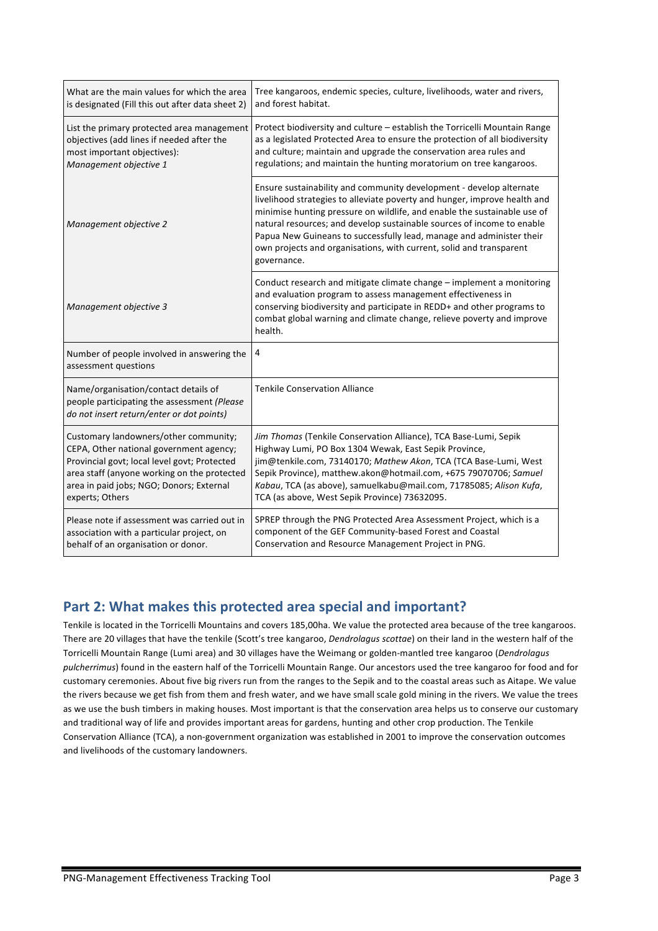| What are the main values for which the area                                                                                      | Tree kangaroos, endemic species, culture, livelihoods, water and rivers,                                                                                                                                                                                                                                                                                                                                                                                             |
|----------------------------------------------------------------------------------------------------------------------------------|----------------------------------------------------------------------------------------------------------------------------------------------------------------------------------------------------------------------------------------------------------------------------------------------------------------------------------------------------------------------------------------------------------------------------------------------------------------------|
| is designated (Fill this out after data sheet 2)                                                                                 | and forest habitat.                                                                                                                                                                                                                                                                                                                                                                                                                                                  |
| List the primary protected area management                                                                                       | Protect biodiversity and culture – establish the Torricelli Mountain Range                                                                                                                                                                                                                                                                                                                                                                                           |
| objectives (add lines if needed after the                                                                                        | as a legislated Protected Area to ensure the protection of all biodiversity                                                                                                                                                                                                                                                                                                                                                                                          |
| most important objectives):                                                                                                      | and culture; maintain and upgrade the conservation area rules and                                                                                                                                                                                                                                                                                                                                                                                                    |
| Management objective 1                                                                                                           | regulations; and maintain the hunting moratorium on tree kangaroos.                                                                                                                                                                                                                                                                                                                                                                                                  |
| Management objective 2                                                                                                           | Ensure sustainability and community development - develop alternate<br>livelihood strategies to alleviate poverty and hunger, improve health and<br>minimise hunting pressure on wildlife, and enable the sustainable use of<br>natural resources; and develop sustainable sources of income to enable<br>Papua New Guineans to successfully lead, manage and administer their<br>own projects and organisations, with current, solid and transparent<br>governance. |
| Management objective 3                                                                                                           | Conduct research and mitigate climate change - implement a monitoring<br>and evaluation program to assess management effectiveness in<br>conserving biodiversity and participate in REDD+ and other programs to<br>combat global warning and climate change, relieve poverty and improve<br>health.                                                                                                                                                                  |
| Number of people involved in answering the<br>assessment questions                                                               | 4                                                                                                                                                                                                                                                                                                                                                                                                                                                                    |
| Name/organisation/contact details of<br>people participating the assessment (Please<br>do not insert return/enter or dot points) | <b>Tenkile Conservation Alliance</b>                                                                                                                                                                                                                                                                                                                                                                                                                                 |
| Customary landowners/other community;                                                                                            | Jim Thomas (Tenkile Conservation Alliance), TCA Base-Lumi, Sepik                                                                                                                                                                                                                                                                                                                                                                                                     |
| CEPA, Other national government agency;                                                                                          | Highway Lumi, PO Box 1304 Wewak, East Sepik Province,                                                                                                                                                                                                                                                                                                                                                                                                                |
| Provincial govt; local level govt; Protected                                                                                     | jim@tenkile.com, 73140170; Mathew Akon, TCA (TCA Base-Lumi, West                                                                                                                                                                                                                                                                                                                                                                                                     |
| area staff (anyone working on the protected                                                                                      | Sepik Province), matthew.akon@hotmail.com, +675 79070706; Samuel                                                                                                                                                                                                                                                                                                                                                                                                     |
| area in paid jobs; NGO; Donors; External                                                                                         | Kabau, TCA (as above), samuelkabu@mail.com, 71785085; Alison Kufa,                                                                                                                                                                                                                                                                                                                                                                                                   |
| experts; Others                                                                                                                  | TCA (as above, West Sepik Province) 73632095.                                                                                                                                                                                                                                                                                                                                                                                                                        |
| Please note if assessment was carried out in                                                                                     | SPREP through the PNG Protected Area Assessment Project, which is a                                                                                                                                                                                                                                                                                                                                                                                                  |
| association with a particular project, on                                                                                        | component of the GEF Community-based Forest and Coastal                                                                                                                                                                                                                                                                                                                                                                                                              |
| behalf of an organisation or donor.                                                                                              | Conservation and Resource Management Project in PNG.                                                                                                                                                                                                                                                                                                                                                                                                                 |

#### Part 2: What makes this protected area special and important?

Tenkile is located in the Torricelli Mountains and covers 185,00ha. We value the protected area because of the tree kangaroos. There are 20 villages that have the tenkile (Scott's tree kangaroo, *Dendrolagus scottae*) on their land in the western half of the Torricelli Mountain Range (Lumi area) and 30 villages have the Weimang or golden-mantled tree kangaroo (*Dendrolagus* pulcherrimus) found in the eastern half of the Torricelli Mountain Range. Our ancestors used the tree kangaroo for food and for customary ceremonies. About five big rivers run from the ranges to the Sepik and to the coastal areas such as Aitape. We value the rivers because we get fish from them and fresh water, and we have small scale gold mining in the rivers. We value the trees as we use the bush timbers in making houses. Most important is that the conservation area helps us to conserve our customary and traditional way of life and provides important areas for gardens, hunting and other crop production. The Tenkile Conservation Alliance (TCA), a non-government organization was established in 2001 to improve the conservation outcomes and livelihoods of the customary landowners.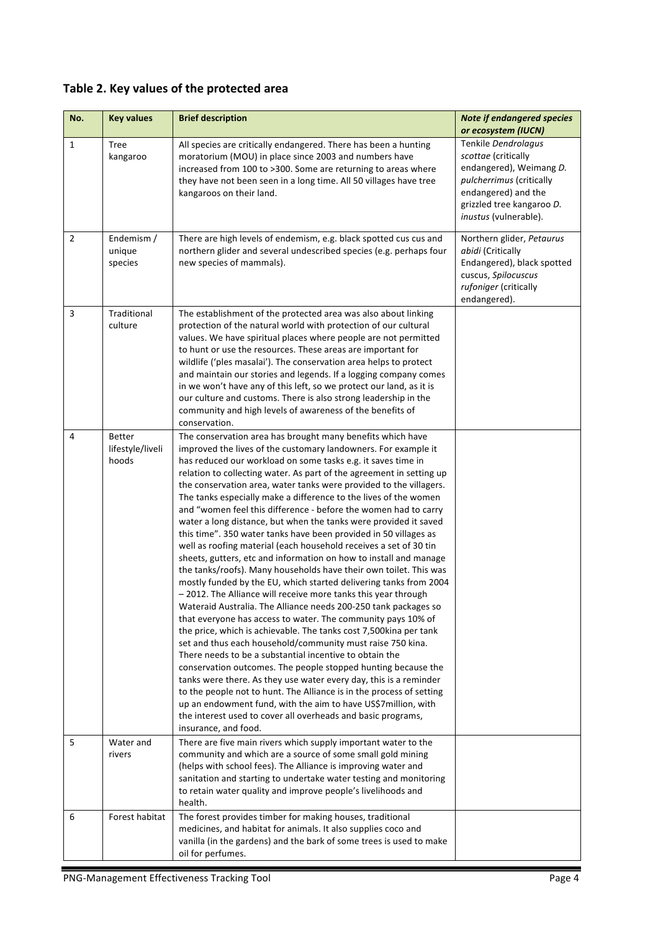## Table 2. Key values of the protected area

| No.            | <b>Key values</b>                          | <b>Brief description</b>                                                                                                                                                                                                                                                                                                                                                                                                                                                                                                                                                                                                                                                                                                                                                                                                                                                                                                                                                                                                                                                                                                                                                                                                                                                                                                                                                                                                                                                                                                                                                                                                                                                                | <b>Note if endangered species</b>                                                                                                                                              |
|----------------|--------------------------------------------|-----------------------------------------------------------------------------------------------------------------------------------------------------------------------------------------------------------------------------------------------------------------------------------------------------------------------------------------------------------------------------------------------------------------------------------------------------------------------------------------------------------------------------------------------------------------------------------------------------------------------------------------------------------------------------------------------------------------------------------------------------------------------------------------------------------------------------------------------------------------------------------------------------------------------------------------------------------------------------------------------------------------------------------------------------------------------------------------------------------------------------------------------------------------------------------------------------------------------------------------------------------------------------------------------------------------------------------------------------------------------------------------------------------------------------------------------------------------------------------------------------------------------------------------------------------------------------------------------------------------------------------------------------------------------------------------|--------------------------------------------------------------------------------------------------------------------------------------------------------------------------------|
|                |                                            |                                                                                                                                                                                                                                                                                                                                                                                                                                                                                                                                                                                                                                                                                                                                                                                                                                                                                                                                                                                                                                                                                                                                                                                                                                                                                                                                                                                                                                                                                                                                                                                                                                                                                         | or ecosystem (IUCN)                                                                                                                                                            |
| $\mathbf{1}$   | Tree<br>kangaroo                           | All species are critically endangered. There has been a hunting<br>moratorium (MOU) in place since 2003 and numbers have<br>increased from 100 to >300. Some are returning to areas where<br>they have not been seen in a long time. All 50 villages have tree<br>kangaroos on their land.                                                                                                                                                                                                                                                                                                                                                                                                                                                                                                                                                                                                                                                                                                                                                                                                                                                                                                                                                                                                                                                                                                                                                                                                                                                                                                                                                                                              | Tenkile Dendrolagus<br>scottae (critically<br>endangered), Weimang D.<br>pulcherrimus (critically<br>endangered) and the<br>grizzled tree kangaroo D.<br>inustus (vulnerable). |
| $\overline{2}$ | Endemism /<br>unique<br>species            | There are high levels of endemism, e.g. black spotted cus cus and<br>northern glider and several undescribed species (e.g. perhaps four<br>new species of mammals).                                                                                                                                                                                                                                                                                                                                                                                                                                                                                                                                                                                                                                                                                                                                                                                                                                                                                                                                                                                                                                                                                                                                                                                                                                                                                                                                                                                                                                                                                                                     | Northern glider, Petaurus<br>abidi (Critically<br>Endangered), black spotted<br>cuscus, Spilocuscus<br>rufoniger (critically<br>endangered).                                   |
| 3              | Traditional<br>culture                     | The establishment of the protected area was also about linking<br>protection of the natural world with protection of our cultural<br>values. We have spiritual places where people are not permitted<br>to hunt or use the resources. These areas are important for<br>wildlife ('ples masalai'). The conservation area helps to protect<br>and maintain our stories and legends. If a logging company comes<br>in we won't have any of this left, so we protect our land, as it is<br>our culture and customs. There is also strong leadership in the<br>community and high levels of awareness of the benefits of<br>conservation.                                                                                                                                                                                                                                                                                                                                                                                                                                                                                                                                                                                                                                                                                                                                                                                                                                                                                                                                                                                                                                                    |                                                                                                                                                                                |
| 4              | <b>Better</b><br>lifestyle/liveli<br>hoods | The conservation area has brought many benefits which have<br>improved the lives of the customary landowners. For example it<br>has reduced our workload on some tasks e.g. it saves time in<br>relation to collecting water. As part of the agreement in setting up<br>the conservation area, water tanks were provided to the villagers.<br>The tanks especially make a difference to the lives of the women<br>and "women feel this difference - before the women had to carry<br>water a long distance, but when the tanks were provided it saved<br>this time". 350 water tanks have been provided in 50 villages as<br>well as roofing material (each household receives a set of 30 tin<br>sheets, gutters, etc and information on how to install and manage<br>the tanks/roofs). Many households have their own toilet. This was<br>mostly funded by the EU, which started delivering tanks from 2004<br>-2012. The Alliance will receive more tanks this year through<br>Wateraid Australia. The Alliance needs 200-250 tank packages so<br>that everyone has access to water. The community pays 10% of<br>the price, which is achievable. The tanks cost 7,500kina per tank<br>set and thus each household/community must raise 750 kina.<br>There needs to be a substantial incentive to obtain the<br>conservation outcomes. The people stopped hunting because the<br>tanks were there. As they use water every day, this is a reminder<br>to the people not to hunt. The Alliance is in the process of setting<br>up an endowment fund, with the aim to have US\$7 million, with<br>the interest used to cover all overheads and basic programs,<br>insurance, and food. |                                                                                                                                                                                |
| 5              | Water and<br>rivers                        | There are five main rivers which supply important water to the<br>community and which are a source of some small gold mining<br>(helps with school fees). The Alliance is improving water and<br>sanitation and starting to undertake water testing and monitoring<br>to retain water quality and improve people's livelihoods and<br>health.                                                                                                                                                                                                                                                                                                                                                                                                                                                                                                                                                                                                                                                                                                                                                                                                                                                                                                                                                                                                                                                                                                                                                                                                                                                                                                                                           |                                                                                                                                                                                |
| 6              | Forest habitat                             | The forest provides timber for making houses, traditional<br>medicines, and habitat for animals. It also supplies coco and<br>vanilla (in the gardens) and the bark of some trees is used to make<br>oil for perfumes.                                                                                                                                                                                                                                                                                                                                                                                                                                                                                                                                                                                                                                                                                                                                                                                                                                                                                                                                                                                                                                                                                                                                                                                                                                                                                                                                                                                                                                                                  |                                                                                                                                                                                |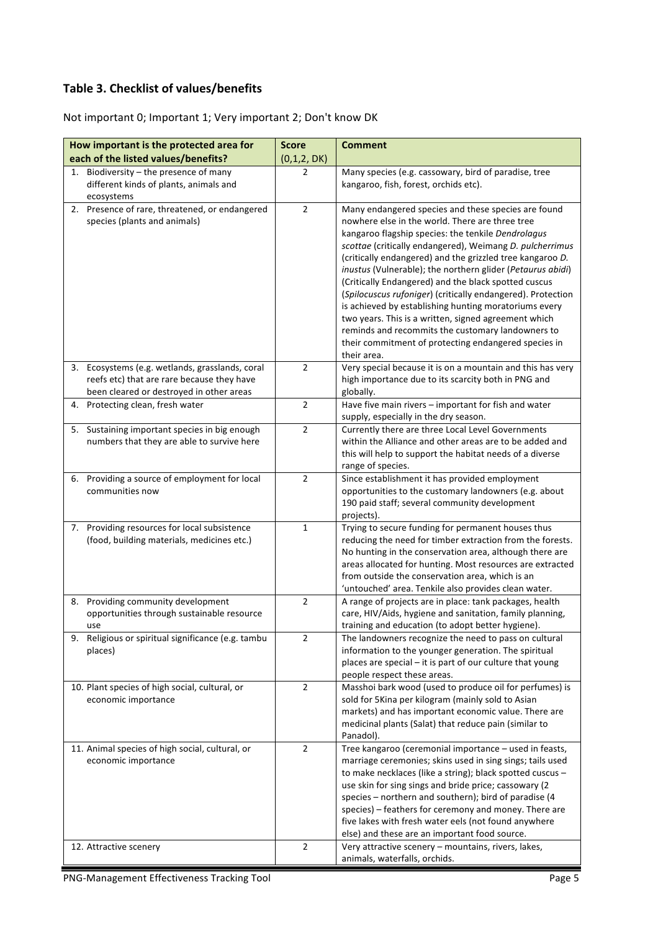#### **Table 3. Checklist of values/benefits**

Not important 0; Important 1; Very important 2; Don't know DK

| How important is the protected area for              | <b>Score</b>   | <b>Comment</b>                                                                                                         |
|------------------------------------------------------|----------------|------------------------------------------------------------------------------------------------------------------------|
| each of the listed values/benefits?                  | (0,1,2,DK)     |                                                                                                                        |
| Biodiversity - the presence of many<br>1.            | 2              | Many species (e.g. cassowary, bird of paradise, tree                                                                   |
| different kinds of plants, animals and<br>ecosystems |                | kangaroo, fish, forest, orchids etc).                                                                                  |
| 2. Presence of rare, threatened, or endangered       | $\overline{2}$ | Many endangered species and these species are found                                                                    |
| species (plants and animals)                         |                | nowhere else in the world. There are three tree                                                                        |
|                                                      |                | kangaroo flagship species: the tenkile Dendrolagus                                                                     |
|                                                      |                | scottae (critically endangered), Weimang D. pulcherrimus                                                               |
|                                                      |                | (critically endangered) and the grizzled tree kangaroo D.                                                              |
|                                                      |                | inustus (Vulnerable); the northern glider (Petaurus abidi)                                                             |
|                                                      |                | (Critically Endangered) and the black spotted cuscus<br>(Spilocuscus rufoniger) (critically endangered). Protection    |
|                                                      |                | is achieved by establishing hunting moratoriums every                                                                  |
|                                                      |                | two years. This is a written, signed agreement which                                                                   |
|                                                      |                | reminds and recommits the customary landowners to                                                                      |
|                                                      |                | their commitment of protecting endangered species in                                                                   |
|                                                      |                | their area.                                                                                                            |
| 3. Ecosystems (e.g. wetlands, grasslands, coral      | $\overline{2}$ | Very special because it is on a mountain and this has very                                                             |
| reefs etc) that are rare because they have           |                | high importance due to its scarcity both in PNG and                                                                    |
| been cleared or destroyed in other areas             |                | globally.                                                                                                              |
| Protecting clean, fresh water<br>4.                  | $\overline{2}$ | Have five main rivers - important for fish and water                                                                   |
| 5. Sustaining important species in big enough        | $\overline{2}$ | supply, especially in the dry season.<br>Currently there are three Local Level Governments                             |
| numbers that they are able to survive here           |                | within the Alliance and other areas are to be added and                                                                |
|                                                      |                | this will help to support the habitat needs of a diverse                                                               |
|                                                      |                | range of species.                                                                                                      |
| 6. Providing a source of employment for local        | $\overline{2}$ | Since establishment it has provided employment                                                                         |
| communities now                                      |                | opportunities to the customary landowners (e.g. about                                                                  |
|                                                      |                | 190 paid staff; several community development                                                                          |
|                                                      |                | projects).                                                                                                             |
| 7. Providing resources for local subsistence         | $\mathbf{1}$   | Trying to secure funding for permanent houses thus                                                                     |
| (food, building materials, medicines etc.)           |                | reducing the need for timber extraction from the forests.<br>No hunting in the conservation area, although there are   |
|                                                      |                | areas allocated for hunting. Most resources are extracted                                                              |
|                                                      |                | from outside the conservation area, which is an                                                                        |
|                                                      |                | 'untouched' area. Tenkile also provides clean water.                                                                   |
| 8. Providing community development                   | $\overline{2}$ | A range of projects are in place: tank packages, health                                                                |
| opportunities through sustainable resource           |                | care, HIV/Aids, hygiene and sanitation, family planning,                                                               |
| use                                                  |                | training and education (to adopt better hygiene).                                                                      |
| 9. Religious or spiritual significance (e.g. tambu   | $\overline{2}$ | The landowners recognize the need to pass on cultural                                                                  |
| places)                                              |                | information to the younger generation. The spiritual<br>places are special - it is part of our culture that young      |
|                                                      |                | people respect these areas.                                                                                            |
| 10. Plant species of high social, cultural, or       | $\overline{2}$ | Masshoi bark wood (used to produce oil for perfumes) is                                                                |
| economic importance                                  |                | sold for 5Kina per kilogram (mainly sold to Asian                                                                      |
|                                                      |                | markets) and has important economic value. There are                                                                   |
|                                                      |                | medicinal plants (Salat) that reduce pain (similar to                                                                  |
|                                                      |                | Panadol).                                                                                                              |
| 11. Animal species of high social, cultural, or      | $\overline{2}$ | Tree kangaroo (ceremonial importance - used in feasts,                                                                 |
| economic importance                                  |                | marriage ceremonies; skins used in sing sings; tails used<br>to make necklaces (like a string); black spotted cuscus - |
|                                                      |                | use skin for sing sings and bride price; cassowary (2                                                                  |
|                                                      |                | species - northern and southern); bird of paradise (4                                                                  |
|                                                      |                | species) - feathers for ceremony and money. There are                                                                  |
|                                                      |                | five lakes with fresh water eels (not found anywhere                                                                   |
|                                                      |                | else) and these are an important food source.                                                                          |
| 12. Attractive scenery                               | $\overline{2}$ | Very attractive scenery - mountains, rivers, lakes,                                                                    |
|                                                      |                | animals, waterfalls, orchids.                                                                                          |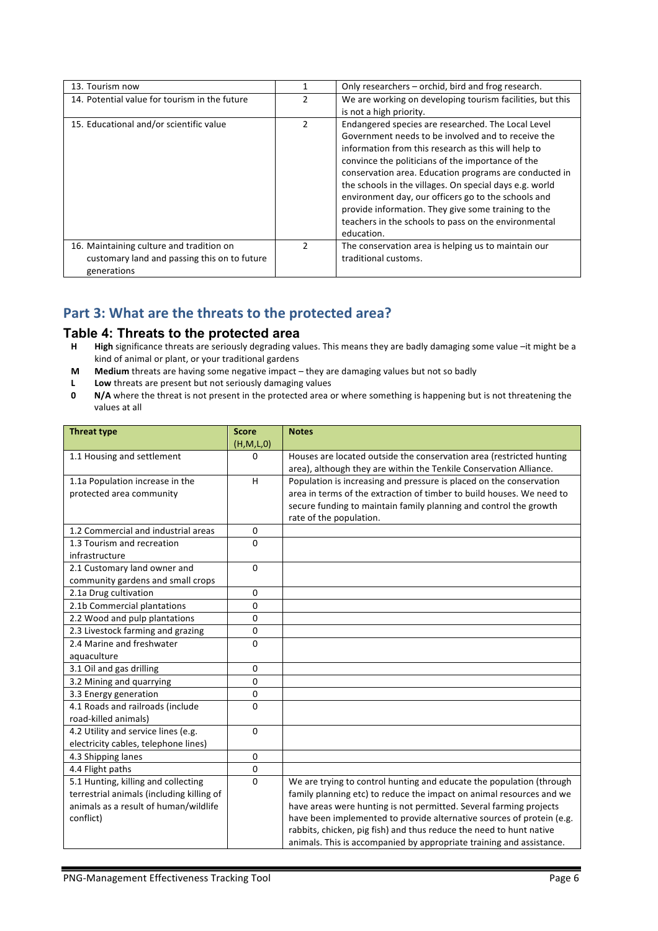| 13. Tourism now                                                                                         |               | Only researchers - orchid, bird and frog research.                                                                                                                                                                                                                                                                                                                                                                                                                                                              |
|---------------------------------------------------------------------------------------------------------|---------------|-----------------------------------------------------------------------------------------------------------------------------------------------------------------------------------------------------------------------------------------------------------------------------------------------------------------------------------------------------------------------------------------------------------------------------------------------------------------------------------------------------------------|
| 14. Potential value for tourism in the future                                                           | 2             | We are working on developing tourism facilities, but this                                                                                                                                                                                                                                                                                                                                                                                                                                                       |
|                                                                                                         |               | is not a high priority.                                                                                                                                                                                                                                                                                                                                                                                                                                                                                         |
| 15. Educational and/or scientific value                                                                 | $\mathcal{P}$ | Endangered species are researched. The Local Level<br>Government needs to be involved and to receive the<br>information from this research as this will help to<br>convince the politicians of the importance of the<br>conservation area. Education programs are conducted in<br>the schools in the villages. On special days e.g. world<br>environment day, our officers go to the schools and<br>provide information. They give some training to the<br>teachers in the schools to pass on the environmental |
|                                                                                                         |               | education.                                                                                                                                                                                                                                                                                                                                                                                                                                                                                                      |
| 16. Maintaining culture and tradition on<br>customary land and passing this on to future<br>generations | $\mathcal{P}$ | The conservation area is helping us to maintain our<br>traditional customs.                                                                                                                                                                                                                                                                                                                                                                                                                                     |

#### Part 3: What are the threats to the protected area?

# **Table 4: Threats to the protected area**<br>**H** High significance threats are seriously degrading va

- High significance threats are seriously degrading values. This means they are badly damaging some value –it might be a kind of animal or plant, or your traditional gardens
- **M** Medium threats are having some negative impact they are damaging values but not so badly
- **L** Low threats are present but not seriously damaging values<br>**0** N/A where the threat is not present in the protected area c
- **N/A** where the threat is not present in the protected area or where something is happening but is not threatening the values at all

| <b>Threat type</b>                        | <b>Score</b> | <b>Notes</b>                                                          |
|-------------------------------------------|--------------|-----------------------------------------------------------------------|
|                                           | (H,M,L,0)    |                                                                       |
| 1.1 Housing and settlement                | 0            | Houses are located outside the conservation area (restricted hunting  |
|                                           |              | area), although they are within the Tenkile Conservation Alliance.    |
| 1.1a Population increase in the           | H            | Population is increasing and pressure is placed on the conservation   |
| protected area community                  |              | area in terms of the extraction of timber to build houses. We need to |
|                                           |              | secure funding to maintain family planning and control the growth     |
|                                           |              | rate of the population.                                               |
| 1.2 Commercial and industrial areas       | $\mathbf{0}$ |                                                                       |
| 1.3 Tourism and recreation                | $\Omega$     |                                                                       |
| infrastructure                            |              |                                                                       |
| 2.1 Customary land owner and              | $\mathbf{0}$ |                                                                       |
| community gardens and small crops         |              |                                                                       |
| 2.1a Drug cultivation                     | $\mathbf 0$  |                                                                       |
| 2.1b Commercial plantations               | $\Omega$     |                                                                       |
| 2.2 Wood and pulp plantations             | $\Omega$     |                                                                       |
| 2.3 Livestock farming and grazing         | $\mathbf 0$  |                                                                       |
| 2.4 Marine and freshwater                 | $\mathbf{0}$ |                                                                       |
| aquaculture                               |              |                                                                       |
| 3.1 Oil and gas drilling                  | $\mathbf{0}$ |                                                                       |
| 3.2 Mining and quarrying                  | $\mathbf{0}$ |                                                                       |
| 3.3 Energy generation                     | $\mathbf{0}$ |                                                                       |
| 4.1 Roads and railroads (include          | $\mathbf{0}$ |                                                                       |
| road-killed animals)                      |              |                                                                       |
| 4.2 Utility and service lines (e.g.       | $\Omega$     |                                                                       |
| electricity cables, telephone lines)      |              |                                                                       |
| 4.3 Shipping lanes                        | $\mathbf 0$  |                                                                       |
| 4.4 Flight paths                          | 0            |                                                                       |
| 5.1 Hunting, killing and collecting       | $\mathbf{0}$ | We are trying to control hunting and educate the population (through  |
| terrestrial animals (including killing of |              | family planning etc) to reduce the impact on animal resources and we  |
| animals as a result of human/wildlife     |              | have areas were hunting is not permitted. Several farming projects    |
| conflict)                                 |              | have been implemented to provide alternative sources of protein (e.g. |
|                                           |              | rabbits, chicken, pig fish) and thus reduce the need to hunt native   |
|                                           |              | animals. This is accompanied by appropriate training and assistance.  |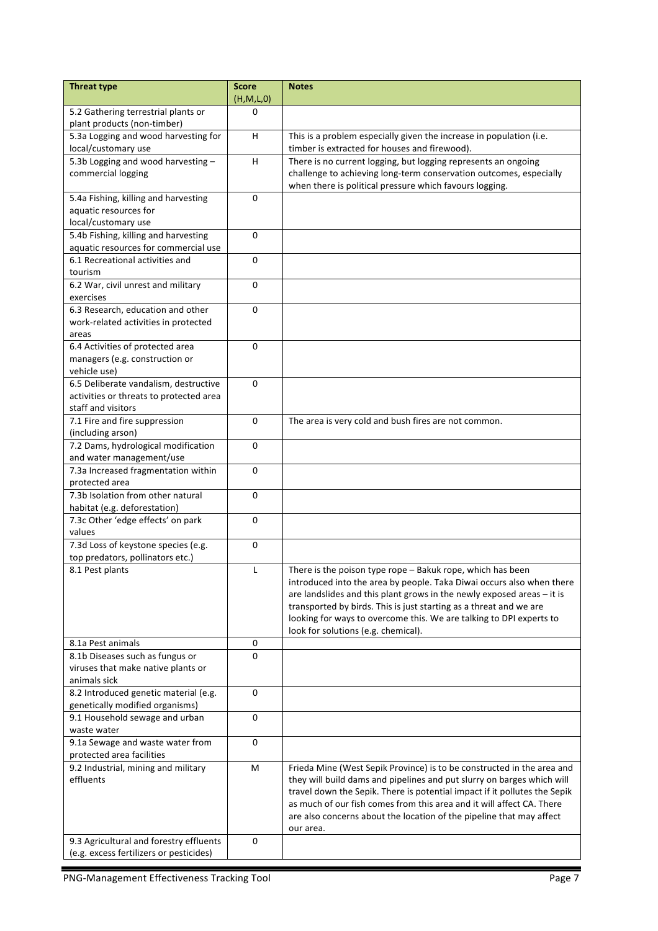| <b>Threat type</b>                                                                 | <b>Score</b><br>(H,M,L,0) | <b>Notes</b>                                                                                               |
|------------------------------------------------------------------------------------|---------------------------|------------------------------------------------------------------------------------------------------------|
| 5.2 Gathering terrestrial plants or                                                | 0                         |                                                                                                            |
| plant products (non-timber)<br>5.3a Logging and wood harvesting for                | H                         | This is a problem especially given the increase in population (i.e.                                        |
| local/customary use                                                                |                           | timber is extracted for houses and firewood).                                                              |
| 5.3b Logging and wood harvesting -                                                 | H                         | There is no current logging, but logging represents an ongoing                                             |
| commercial logging                                                                 |                           | challenge to achieving long-term conservation outcomes, especially                                         |
|                                                                                    |                           | when there is political pressure which favours logging.                                                    |
| 5.4a Fishing, killing and harvesting                                               | 0                         |                                                                                                            |
| aquatic resources for                                                              |                           |                                                                                                            |
| local/customary use                                                                |                           |                                                                                                            |
| 5.4b Fishing, killing and harvesting<br>aquatic resources for commercial use       | $\Omega$                  |                                                                                                            |
| 6.1 Recreational activities and                                                    | 0                         |                                                                                                            |
| tourism                                                                            |                           |                                                                                                            |
| 6.2 War, civil unrest and military                                                 | $\mathbf 0$               |                                                                                                            |
| exercises                                                                          |                           |                                                                                                            |
| 6.3 Research, education and other                                                  | $\Omega$                  |                                                                                                            |
| work-related activities in protected                                               |                           |                                                                                                            |
| areas                                                                              |                           |                                                                                                            |
| 6.4 Activities of protected area                                                   | 0                         |                                                                                                            |
| managers (e.g. construction or                                                     |                           |                                                                                                            |
| vehicle use)<br>6.5 Deliberate vandalism, destructive                              | 0                         |                                                                                                            |
| activities or threats to protected area                                            |                           |                                                                                                            |
| staff and visitors                                                                 |                           |                                                                                                            |
| 7.1 Fire and fire suppression                                                      | $\mathbf 0$               | The area is very cold and bush fires are not common.                                                       |
| (including arson)                                                                  |                           |                                                                                                            |
| 7.2 Dams, hydrological modification                                                | 0                         |                                                                                                            |
| and water management/use                                                           |                           |                                                                                                            |
| 7.3a Increased fragmentation within                                                | $\mathbf 0$               |                                                                                                            |
| protected area                                                                     |                           |                                                                                                            |
| 7.3b Isolation from other natural                                                  | $\Omega$                  |                                                                                                            |
| habitat (e.g. deforestation)<br>7.3c Other 'edge effects' on park                  | 0                         |                                                                                                            |
| values                                                                             |                           |                                                                                                            |
| 7.3d Loss of keystone species (e.g.                                                | 0                         |                                                                                                            |
| top predators, pollinators etc.)                                                   |                           |                                                                                                            |
| 8.1 Pest plants                                                                    | L                         | There is the poison type rope - Bakuk rope, which has been                                                 |
|                                                                                    |                           | introduced into the area by people. Taka Diwai occurs also when there                                      |
|                                                                                    |                           | are landslides and this plant grows in the newly exposed areas - it is                                     |
|                                                                                    |                           | transported by birds. This is just starting as a threat and we are                                         |
|                                                                                    |                           | looking for ways to overcome this. We are talking to DPI experts to<br>look for solutions (e.g. chemical). |
| 8.1a Pest animals                                                                  | 0                         |                                                                                                            |
| 8.1b Diseases such as fungus or                                                    | 0                         |                                                                                                            |
| viruses that make native plants or                                                 |                           |                                                                                                            |
| animals sick                                                                       |                           |                                                                                                            |
| 8.2 Introduced genetic material (e.g.                                              | 0                         |                                                                                                            |
| genetically modified organisms)                                                    |                           |                                                                                                            |
| 9.1 Household sewage and urban                                                     | 0                         |                                                                                                            |
| waste water                                                                        |                           |                                                                                                            |
| 9.1a Sewage and waste water from<br>protected area facilities                      | 0                         |                                                                                                            |
| 9.2 Industrial, mining and military                                                | M                         | Frieda Mine (West Sepik Province) is to be constructed in the area and                                     |
| effluents                                                                          |                           | they will build dams and pipelines and put slurry on barges which will                                     |
|                                                                                    |                           | travel down the Sepik. There is potential impact if it pollutes the Sepik                                  |
|                                                                                    |                           | as much of our fish comes from this area and it will affect CA. There                                      |
|                                                                                    |                           | are also concerns about the location of the pipeline that may affect                                       |
|                                                                                    |                           | our area.                                                                                                  |
| 9.3 Agricultural and forestry effluents<br>(e.g. excess fertilizers or pesticides) | 0                         |                                                                                                            |
|                                                                                    |                           |                                                                                                            |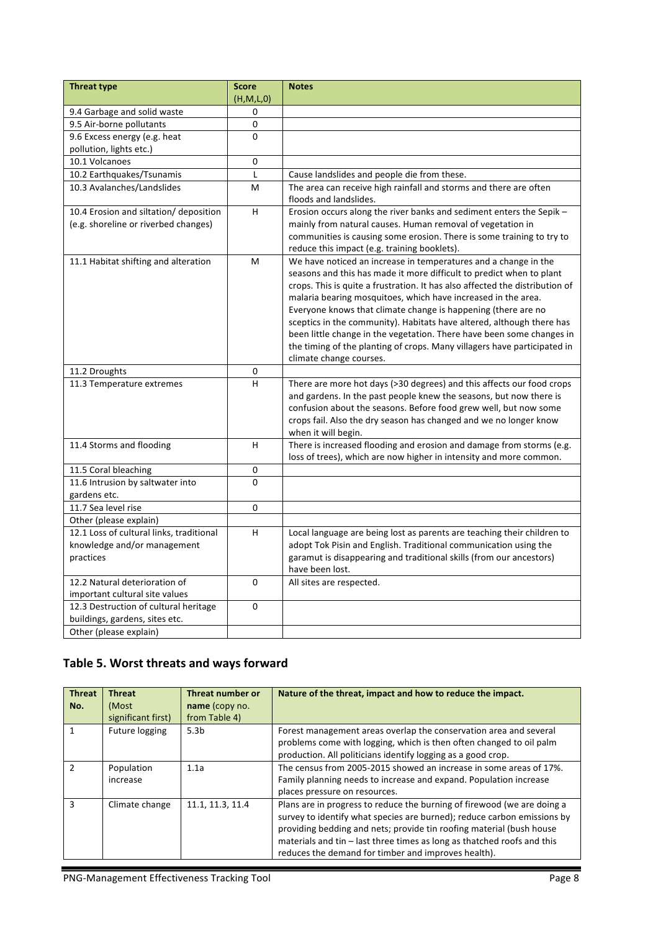| (H,M,L,0)<br>9.4 Garbage and solid waste<br>0<br>9.5 Air-borne pollutants<br>$\mathbf 0$<br>$\Omega$<br>9.6 Excess energy (e.g. heat<br>pollution, lights etc.)<br>10.1 Volcanoes<br>0<br>L<br>10.2 Earthquakes/Tsunamis<br>Cause landslides and people die from these.<br>10.3 Avalanches/Landslides<br>The area can receive high rainfall and storms and there are often<br>M<br>floods and landslides.<br>H.<br>Erosion occurs along the river banks and sediment enters the Sepik -<br>10.4 Erosion and siltation/ deposition<br>(e.g. shoreline or riverbed changes)<br>mainly from natural causes. Human removal of vegetation in<br>communities is causing some erosion. There is some training to try to<br>reduce this impact (e.g. training booklets).<br>We have noticed an increase in temperatures and a change in the<br>11.1 Habitat shifting and alteration<br>M<br>seasons and this has made it more difficult to predict when to plant |
|----------------------------------------------------------------------------------------------------------------------------------------------------------------------------------------------------------------------------------------------------------------------------------------------------------------------------------------------------------------------------------------------------------------------------------------------------------------------------------------------------------------------------------------------------------------------------------------------------------------------------------------------------------------------------------------------------------------------------------------------------------------------------------------------------------------------------------------------------------------------------------------------------------------------------------------------------------|
|                                                                                                                                                                                                                                                                                                                                                                                                                                                                                                                                                                                                                                                                                                                                                                                                                                                                                                                                                          |
|                                                                                                                                                                                                                                                                                                                                                                                                                                                                                                                                                                                                                                                                                                                                                                                                                                                                                                                                                          |
|                                                                                                                                                                                                                                                                                                                                                                                                                                                                                                                                                                                                                                                                                                                                                                                                                                                                                                                                                          |
|                                                                                                                                                                                                                                                                                                                                                                                                                                                                                                                                                                                                                                                                                                                                                                                                                                                                                                                                                          |
|                                                                                                                                                                                                                                                                                                                                                                                                                                                                                                                                                                                                                                                                                                                                                                                                                                                                                                                                                          |
|                                                                                                                                                                                                                                                                                                                                                                                                                                                                                                                                                                                                                                                                                                                                                                                                                                                                                                                                                          |
|                                                                                                                                                                                                                                                                                                                                                                                                                                                                                                                                                                                                                                                                                                                                                                                                                                                                                                                                                          |
|                                                                                                                                                                                                                                                                                                                                                                                                                                                                                                                                                                                                                                                                                                                                                                                                                                                                                                                                                          |
|                                                                                                                                                                                                                                                                                                                                                                                                                                                                                                                                                                                                                                                                                                                                                                                                                                                                                                                                                          |
|                                                                                                                                                                                                                                                                                                                                                                                                                                                                                                                                                                                                                                                                                                                                                                                                                                                                                                                                                          |
|                                                                                                                                                                                                                                                                                                                                                                                                                                                                                                                                                                                                                                                                                                                                                                                                                                                                                                                                                          |
|                                                                                                                                                                                                                                                                                                                                                                                                                                                                                                                                                                                                                                                                                                                                                                                                                                                                                                                                                          |
|                                                                                                                                                                                                                                                                                                                                                                                                                                                                                                                                                                                                                                                                                                                                                                                                                                                                                                                                                          |
|                                                                                                                                                                                                                                                                                                                                                                                                                                                                                                                                                                                                                                                                                                                                                                                                                                                                                                                                                          |
|                                                                                                                                                                                                                                                                                                                                                                                                                                                                                                                                                                                                                                                                                                                                                                                                                                                                                                                                                          |
| crops. This is quite a frustration. It has also affected the distribution of                                                                                                                                                                                                                                                                                                                                                                                                                                                                                                                                                                                                                                                                                                                                                                                                                                                                             |
| malaria bearing mosquitoes, which have increased in the area.                                                                                                                                                                                                                                                                                                                                                                                                                                                                                                                                                                                                                                                                                                                                                                                                                                                                                            |
| Everyone knows that climate change is happening (there are no                                                                                                                                                                                                                                                                                                                                                                                                                                                                                                                                                                                                                                                                                                                                                                                                                                                                                            |
| sceptics in the community). Habitats have altered, although there has                                                                                                                                                                                                                                                                                                                                                                                                                                                                                                                                                                                                                                                                                                                                                                                                                                                                                    |
| been little change in the vegetation. There have been some changes in                                                                                                                                                                                                                                                                                                                                                                                                                                                                                                                                                                                                                                                                                                                                                                                                                                                                                    |
| the timing of the planting of crops. Many villagers have participated in                                                                                                                                                                                                                                                                                                                                                                                                                                                                                                                                                                                                                                                                                                                                                                                                                                                                                 |
| climate change courses.                                                                                                                                                                                                                                                                                                                                                                                                                                                                                                                                                                                                                                                                                                                                                                                                                                                                                                                                  |
| 0<br>11.2 Droughts                                                                                                                                                                                                                                                                                                                                                                                                                                                                                                                                                                                                                                                                                                                                                                                                                                                                                                                                       |
| H<br>11.3 Temperature extremes<br>There are more hot days (>30 degrees) and this affects our food crops                                                                                                                                                                                                                                                                                                                                                                                                                                                                                                                                                                                                                                                                                                                                                                                                                                                  |
| and gardens. In the past people knew the seasons, but now there is                                                                                                                                                                                                                                                                                                                                                                                                                                                                                                                                                                                                                                                                                                                                                                                                                                                                                       |
| confusion about the seasons. Before food grew well, but now some                                                                                                                                                                                                                                                                                                                                                                                                                                                                                                                                                                                                                                                                                                                                                                                                                                                                                         |
| crops fail. Also the dry season has changed and we no longer know                                                                                                                                                                                                                                                                                                                                                                                                                                                                                                                                                                                                                                                                                                                                                                                                                                                                                        |
| when it will begin.                                                                                                                                                                                                                                                                                                                                                                                                                                                                                                                                                                                                                                                                                                                                                                                                                                                                                                                                      |
| 11.4 Storms and flooding<br>H<br>There is increased flooding and erosion and damage from storms (e.g.                                                                                                                                                                                                                                                                                                                                                                                                                                                                                                                                                                                                                                                                                                                                                                                                                                                    |
| loss of trees), which are now higher in intensity and more common.<br>0                                                                                                                                                                                                                                                                                                                                                                                                                                                                                                                                                                                                                                                                                                                                                                                                                                                                                  |
| 11.5 Coral bleaching<br>$\mathbf 0$<br>11.6 Intrusion by saltwater into                                                                                                                                                                                                                                                                                                                                                                                                                                                                                                                                                                                                                                                                                                                                                                                                                                                                                  |
| gardens etc.                                                                                                                                                                                                                                                                                                                                                                                                                                                                                                                                                                                                                                                                                                                                                                                                                                                                                                                                             |
| 11.7 Sea level rise<br>0                                                                                                                                                                                                                                                                                                                                                                                                                                                                                                                                                                                                                                                                                                                                                                                                                                                                                                                                 |
| Other (please explain)                                                                                                                                                                                                                                                                                                                                                                                                                                                                                                                                                                                                                                                                                                                                                                                                                                                                                                                                   |
| 12.1 Loss of cultural links, traditional<br>H<br>Local language are being lost as parents are teaching their children to                                                                                                                                                                                                                                                                                                                                                                                                                                                                                                                                                                                                                                                                                                                                                                                                                                 |
| knowledge and/or management<br>adopt Tok Pisin and English. Traditional communication using the                                                                                                                                                                                                                                                                                                                                                                                                                                                                                                                                                                                                                                                                                                                                                                                                                                                          |
| practices<br>garamut is disappearing and traditional skills (from our ancestors)                                                                                                                                                                                                                                                                                                                                                                                                                                                                                                                                                                                                                                                                                                                                                                                                                                                                         |
| have been lost.                                                                                                                                                                                                                                                                                                                                                                                                                                                                                                                                                                                                                                                                                                                                                                                                                                                                                                                                          |
| 12.2 Natural deterioration of<br>$\mathbf 0$<br>All sites are respected.                                                                                                                                                                                                                                                                                                                                                                                                                                                                                                                                                                                                                                                                                                                                                                                                                                                                                 |
| important cultural site values                                                                                                                                                                                                                                                                                                                                                                                                                                                                                                                                                                                                                                                                                                                                                                                                                                                                                                                           |
| 12.3 Destruction of cultural heritage<br>0                                                                                                                                                                                                                                                                                                                                                                                                                                                                                                                                                                                                                                                                                                                                                                                                                                                                                                               |
| buildings, gardens, sites etc.                                                                                                                                                                                                                                                                                                                                                                                                                                                                                                                                                                                                                                                                                                                                                                                                                                                                                                                           |
| Other (please explain)                                                                                                                                                                                                                                                                                                                                                                                                                                                                                                                                                                                                                                                                                                                                                                                                                                                                                                                                   |

## Table 5. Worst threats and ways forward

| <b>Threat</b><br>No. | <b>Threat</b><br>(Most<br>significant first) | Threat number or<br>name (copy no.<br>from Table 4) | Nature of the threat, impact and how to reduce the impact.                                                                                                                                                                                                                                                                                                     |
|----------------------|----------------------------------------------|-----------------------------------------------------|----------------------------------------------------------------------------------------------------------------------------------------------------------------------------------------------------------------------------------------------------------------------------------------------------------------------------------------------------------------|
|                      | Future logging                               | 5.3 <sub>b</sub>                                    | Forest management areas overlap the conservation area and several<br>problems come with logging, which is then often changed to oil palm<br>production. All politicians identify logging as a good crop.                                                                                                                                                       |
| $\mathcal{P}$        | Population<br>increase                       | 1.1a                                                | The census from 2005-2015 showed an increase in some areas of 17%.<br>Family planning needs to increase and expand. Population increase<br>places pressure on resources.                                                                                                                                                                                       |
| ঽ                    | Climate change                               | 11.1, 11.3, 11.4                                    | Plans are in progress to reduce the burning of firewood (we are doing a<br>survey to identify what species are burned); reduce carbon emissions by<br>providing bedding and nets; provide tin roofing material (bush house<br>materials and tin $-$ last three times as long as thatched roofs and this<br>reduces the demand for timber and improves health). |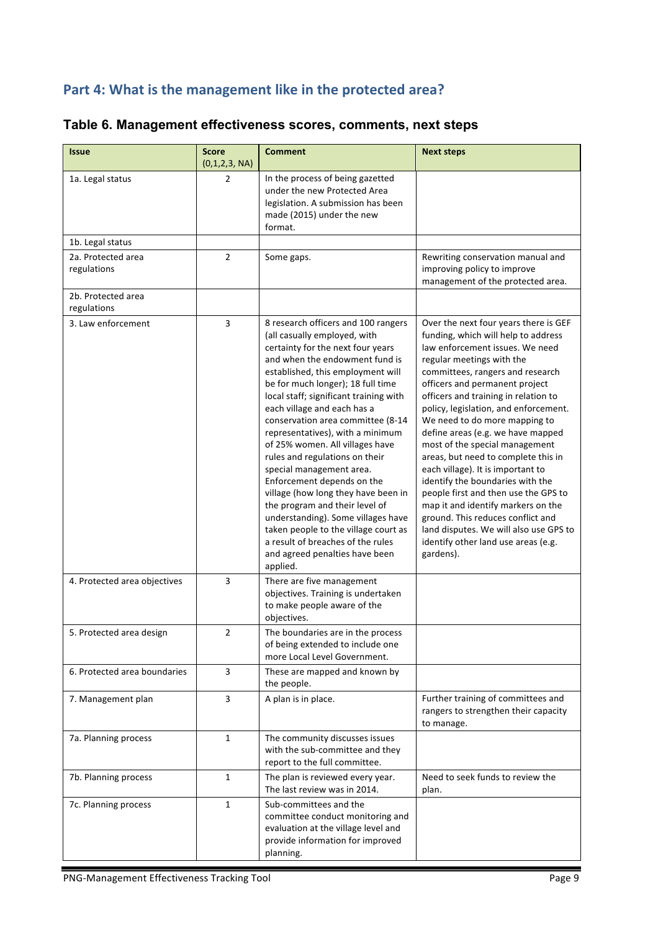# Part 4: What is the management like in the protected area?

| <b>Issue</b>                      | <b>Score</b><br>(0,1,2,3, NA) | <b>Comment</b>                                                                                                                                                                                                                                                                                                                                                                                                                                                                                                                                                                                                                                                                                                                                  | <b>Next steps</b>                                                                                                                                                                                                                                                                                                                                                                                                                                                                                                                                                                                                                                                                                                                            |
|-----------------------------------|-------------------------------|-------------------------------------------------------------------------------------------------------------------------------------------------------------------------------------------------------------------------------------------------------------------------------------------------------------------------------------------------------------------------------------------------------------------------------------------------------------------------------------------------------------------------------------------------------------------------------------------------------------------------------------------------------------------------------------------------------------------------------------------------|----------------------------------------------------------------------------------------------------------------------------------------------------------------------------------------------------------------------------------------------------------------------------------------------------------------------------------------------------------------------------------------------------------------------------------------------------------------------------------------------------------------------------------------------------------------------------------------------------------------------------------------------------------------------------------------------------------------------------------------------|
| 1a. Legal status                  | 2                             | In the process of being gazetted<br>under the new Protected Area<br>legislation. A submission has been<br>made (2015) under the new<br>format.                                                                                                                                                                                                                                                                                                                                                                                                                                                                                                                                                                                                  |                                                                                                                                                                                                                                                                                                                                                                                                                                                                                                                                                                                                                                                                                                                                              |
| 1b. Legal status                  |                               |                                                                                                                                                                                                                                                                                                                                                                                                                                                                                                                                                                                                                                                                                                                                                 |                                                                                                                                                                                                                                                                                                                                                                                                                                                                                                                                                                                                                                                                                                                                              |
| 2a. Protected area<br>regulations | $\overline{2}$                | Some gaps.                                                                                                                                                                                                                                                                                                                                                                                                                                                                                                                                                                                                                                                                                                                                      | Rewriting conservation manual and<br>improving policy to improve<br>management of the protected area.                                                                                                                                                                                                                                                                                                                                                                                                                                                                                                                                                                                                                                        |
| 2b. Protected area<br>regulations |                               |                                                                                                                                                                                                                                                                                                                                                                                                                                                                                                                                                                                                                                                                                                                                                 |                                                                                                                                                                                                                                                                                                                                                                                                                                                                                                                                                                                                                                                                                                                                              |
| 3. Law enforcement                | 3                             | 8 research officers and 100 rangers<br>(all casually employed, with<br>certainty for the next four years<br>and when the endowment fund is<br>established, this employment will<br>be for much longer); 18 full time<br>local staff; significant training with<br>each village and each has a<br>conservation area committee (8-14<br>representatives), with a minimum<br>of 25% women. All villages have<br>rules and regulations on their<br>special management area.<br>Enforcement depends on the<br>village (how long they have been in<br>the program and their level of<br>understanding). Some villages have<br>taken people to the village court as<br>a result of breaches of the rules<br>and agreed penalties have been<br>applied. | Over the next four years there is GEF<br>funding, which will help to address<br>law enforcement issues. We need<br>regular meetings with the<br>committees, rangers and research<br>officers and permanent project<br>officers and training in relation to<br>policy, legislation, and enforcement.<br>We need to do more mapping to<br>define areas (e.g. we have mapped<br>most of the special management<br>areas, but need to complete this in<br>each village). It is important to<br>identify the boundaries with the<br>people first and then use the GPS to<br>map it and identify markers on the<br>ground. This reduces conflict and<br>land disputes. We will also use GPS to<br>identify other land use areas (e.g.<br>gardens). |
| 4. Protected area objectives      | 3                             | There are five management<br>objectives. Training is undertaken<br>to make people aware of the<br>objectives.                                                                                                                                                                                                                                                                                                                                                                                                                                                                                                                                                                                                                                   |                                                                                                                                                                                                                                                                                                                                                                                                                                                                                                                                                                                                                                                                                                                                              |
| 5. Protected area design          | $\overline{2}$                | The boundaries are in the process<br>of being extended to include one<br>more Local Level Government.                                                                                                                                                                                                                                                                                                                                                                                                                                                                                                                                                                                                                                           |                                                                                                                                                                                                                                                                                                                                                                                                                                                                                                                                                                                                                                                                                                                                              |
| 6. Protected area boundaries      | 3                             | These are mapped and known by<br>the people.                                                                                                                                                                                                                                                                                                                                                                                                                                                                                                                                                                                                                                                                                                    |                                                                                                                                                                                                                                                                                                                                                                                                                                                                                                                                                                                                                                                                                                                                              |
| 7. Management plan                | 3                             | A plan is in place.                                                                                                                                                                                                                                                                                                                                                                                                                                                                                                                                                                                                                                                                                                                             | Further training of committees and<br>rangers to strengthen their capacity<br>to manage.                                                                                                                                                                                                                                                                                                                                                                                                                                                                                                                                                                                                                                                     |
| 7a. Planning process              | $\mathbf{1}$                  | The community discusses issues<br>with the sub-committee and they<br>report to the full committee.                                                                                                                                                                                                                                                                                                                                                                                                                                                                                                                                                                                                                                              |                                                                                                                                                                                                                                                                                                                                                                                                                                                                                                                                                                                                                                                                                                                                              |
| 7b. Planning process              | $\mathbf{1}$                  | The plan is reviewed every year.<br>The last review was in 2014.                                                                                                                                                                                                                                                                                                                                                                                                                                                                                                                                                                                                                                                                                | Need to seek funds to review the<br>plan.                                                                                                                                                                                                                                                                                                                                                                                                                                                                                                                                                                                                                                                                                                    |
| 7c. Planning process              | $\mathbf{1}$                  | Sub-committees and the<br>committee conduct monitoring and<br>evaluation at the village level and<br>provide information for improved<br>planning.                                                                                                                                                                                                                                                                                                                                                                                                                                                                                                                                                                                              |                                                                                                                                                                                                                                                                                                                                                                                                                                                                                                                                                                                                                                                                                                                                              |

## **Table 6. Management effectiveness scores, comments, next steps**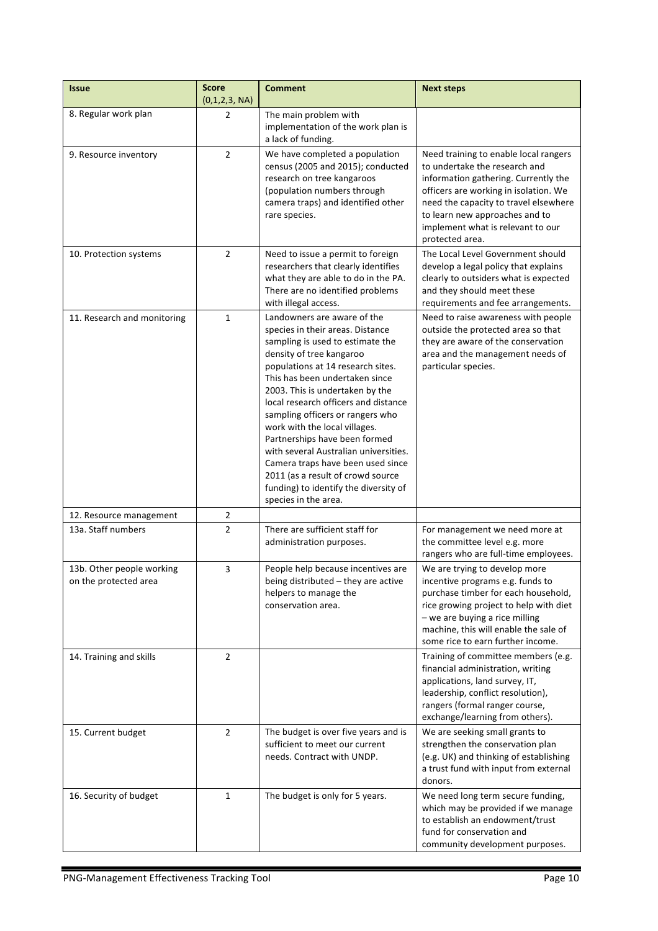| <b>Issue</b>                                       | <b>Score</b><br>(0,1,2,3, NA) | <b>Comment</b>                                                                                                                                                                                                                                                                                                                                                                                                                                                                                                                                                              | <b>Next steps</b>                                                                                                                                                                                                                                                                          |
|----------------------------------------------------|-------------------------------|-----------------------------------------------------------------------------------------------------------------------------------------------------------------------------------------------------------------------------------------------------------------------------------------------------------------------------------------------------------------------------------------------------------------------------------------------------------------------------------------------------------------------------------------------------------------------------|--------------------------------------------------------------------------------------------------------------------------------------------------------------------------------------------------------------------------------------------------------------------------------------------|
| 8. Regular work plan                               | 2                             | The main problem with<br>implementation of the work plan is<br>a lack of funding.                                                                                                                                                                                                                                                                                                                                                                                                                                                                                           |                                                                                                                                                                                                                                                                                            |
| 9. Resource inventory                              | $\overline{2}$                | We have completed a population<br>census (2005 and 2015); conducted<br>research on tree kangaroos<br>(population numbers through<br>camera traps) and identified other<br>rare species.                                                                                                                                                                                                                                                                                                                                                                                     | Need training to enable local rangers<br>to undertake the research and<br>information gathering. Currently the<br>officers are working in isolation. We<br>need the capacity to travel elsewhere<br>to learn new approaches and to<br>implement what is relevant to our<br>protected area. |
| 10. Protection systems                             | $\overline{2}$                | Need to issue a permit to foreign<br>researchers that clearly identifies<br>what they are able to do in the PA.<br>There are no identified problems<br>with illegal access.                                                                                                                                                                                                                                                                                                                                                                                                 | The Local Level Government should<br>develop a legal policy that explains<br>clearly to outsiders what is expected<br>and they should meet these<br>requirements and fee arrangements.                                                                                                     |
| 11. Research and monitoring                        | $\mathbf{1}$                  | Landowners are aware of the<br>species in their areas. Distance<br>sampling is used to estimate the<br>density of tree kangaroo<br>populations at 14 research sites.<br>This has been undertaken since<br>2003. This is undertaken by the<br>local research officers and distance<br>sampling officers or rangers who<br>work with the local villages.<br>Partnerships have been formed<br>with several Australian universities.<br>Camera traps have been used since<br>2011 (as a result of crowd source<br>funding) to identify the diversity of<br>species in the area. | Need to raise awareness with people<br>outside the protected area so that<br>they are aware of the conservation<br>area and the management needs of<br>particular species.                                                                                                                 |
| 12. Resource management                            | $\overline{2}$                |                                                                                                                                                                                                                                                                                                                                                                                                                                                                                                                                                                             |                                                                                                                                                                                                                                                                                            |
| 13a. Staff numbers                                 | $\overline{2}$                | There are sufficient staff for<br>administration purposes.                                                                                                                                                                                                                                                                                                                                                                                                                                                                                                                  | For management we need more at<br>the committee level e.g. more<br>rangers who are full-time employees.                                                                                                                                                                                    |
| 13b. Other people working<br>on the protected area | 3                             | People help because incentives are<br>being distributed $-$ they are active<br>helpers to manage the<br>conservation area.                                                                                                                                                                                                                                                                                                                                                                                                                                                  | We are trying to develop more<br>incentive programs e.g. funds to<br>purchase timber for each household,<br>rice growing project to help with diet<br>$-$ we are buying a rice milling<br>machine, this will enable the sale of<br>some rice to earn further income.                       |
| 14. Training and skills                            | $\overline{2}$                |                                                                                                                                                                                                                                                                                                                                                                                                                                                                                                                                                                             | Training of committee members (e.g.<br>financial administration, writing<br>applications, land survey, IT,<br>leadership, conflict resolution),<br>rangers (formal ranger course,<br>exchange/learning from others).                                                                       |
| 15. Current budget                                 | $\overline{2}$                | The budget is over five years and is<br>sufficient to meet our current<br>needs. Contract with UNDP.                                                                                                                                                                                                                                                                                                                                                                                                                                                                        | We are seeking small grants to<br>strengthen the conservation plan<br>(e.g. UK) and thinking of establishing<br>a trust fund with input from external<br>donors.                                                                                                                           |
| 16. Security of budget                             | $\mathbf{1}$                  | The budget is only for 5 years.                                                                                                                                                                                                                                                                                                                                                                                                                                                                                                                                             | We need long term secure funding,<br>which may be provided if we manage<br>to establish an endowment/trust<br>fund for conservation and<br>community development purposes.                                                                                                                 |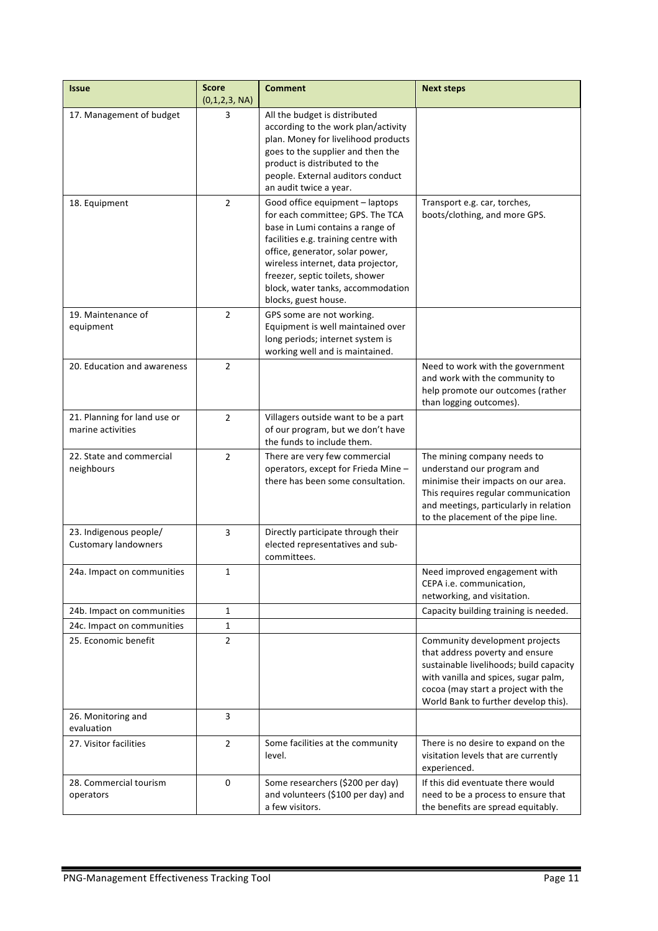| <b>Issue</b>                                          | <b>Score</b><br>(0,1,2,3, NA) | <b>Comment</b>                                                                                                                                                                                                                                                                                                           | <b>Next steps</b>                                                                                                                                                                                                                   |
|-------------------------------------------------------|-------------------------------|--------------------------------------------------------------------------------------------------------------------------------------------------------------------------------------------------------------------------------------------------------------------------------------------------------------------------|-------------------------------------------------------------------------------------------------------------------------------------------------------------------------------------------------------------------------------------|
| 17. Management of budget                              | 3                             | All the budget is distributed<br>according to the work plan/activity<br>plan. Money for livelihood products<br>goes to the supplier and then the<br>product is distributed to the<br>people. External auditors conduct<br>an audit twice a year.                                                                         |                                                                                                                                                                                                                                     |
| 18. Equipment                                         | $\overline{2}$                | Good office equipment - laptops<br>for each committee; GPS. The TCA<br>base in Lumi contains a range of<br>facilities e.g. training centre with<br>office, generator, solar power,<br>wireless internet, data projector,<br>freezer, septic toilets, shower<br>block, water tanks, accommodation<br>blocks, guest house. | Transport e.g. car, torches,<br>boots/clothing, and more GPS.                                                                                                                                                                       |
| 19. Maintenance of<br>equipment                       | $\overline{2}$                | GPS some are not working.<br>Equipment is well maintained over<br>long periods; internet system is<br>working well and is maintained.                                                                                                                                                                                    |                                                                                                                                                                                                                                     |
| 20. Education and awareness                           | $\overline{2}$                |                                                                                                                                                                                                                                                                                                                          | Need to work with the government<br>and work with the community to<br>help promote our outcomes (rather<br>than logging outcomes).                                                                                                  |
| 21. Planning for land use or<br>marine activities     | $\overline{2}$                | Villagers outside want to be a part<br>of our program, but we don't have<br>the funds to include them.                                                                                                                                                                                                                   |                                                                                                                                                                                                                                     |
| 22. State and commercial<br>neighbours                | $\overline{2}$                | There are very few commercial<br>operators, except for Frieda Mine -<br>there has been some consultation.                                                                                                                                                                                                                | The mining company needs to<br>understand our program and<br>minimise their impacts on our area.<br>This requires regular communication<br>and meetings, particularly in relation<br>to the placement of the pipe line.             |
| 23. Indigenous people/<br><b>Customary landowners</b> | 3                             | Directly participate through their<br>elected representatives and sub-<br>committees.                                                                                                                                                                                                                                    |                                                                                                                                                                                                                                     |
| 24a. Impact on communities                            | 1                             |                                                                                                                                                                                                                                                                                                                          | Need improved engagement with<br>CEPA i.e. communication,<br>networking, and visitation.                                                                                                                                            |
| 24b. Impact on communities                            | 1                             |                                                                                                                                                                                                                                                                                                                          | Capacity building training is needed.                                                                                                                                                                                               |
| 24c. Impact on communities                            | $\mathbf{1}$                  |                                                                                                                                                                                                                                                                                                                          |                                                                                                                                                                                                                                     |
| 25. Economic benefit                                  | $\overline{2}$                |                                                                                                                                                                                                                                                                                                                          | Community development projects<br>that address poverty and ensure<br>sustainable livelihoods; build capacity<br>with vanilla and spices, sugar palm,<br>cocoa (may start a project with the<br>World Bank to further develop this). |
| 26. Monitoring and<br>evaluation                      | 3                             |                                                                                                                                                                                                                                                                                                                          |                                                                                                                                                                                                                                     |
| 27. Visitor facilities                                | $\overline{2}$                | Some facilities at the community<br>level.                                                                                                                                                                                                                                                                               | There is no desire to expand on the<br>visitation levels that are currently<br>experienced.                                                                                                                                         |
| 28. Commercial tourism<br>operators                   | 0                             | Some researchers (\$200 per day)<br>and volunteers (\$100 per day) and<br>a few visitors.                                                                                                                                                                                                                                | If this did eventuate there would<br>need to be a process to ensure that<br>the benefits are spread equitably.                                                                                                                      |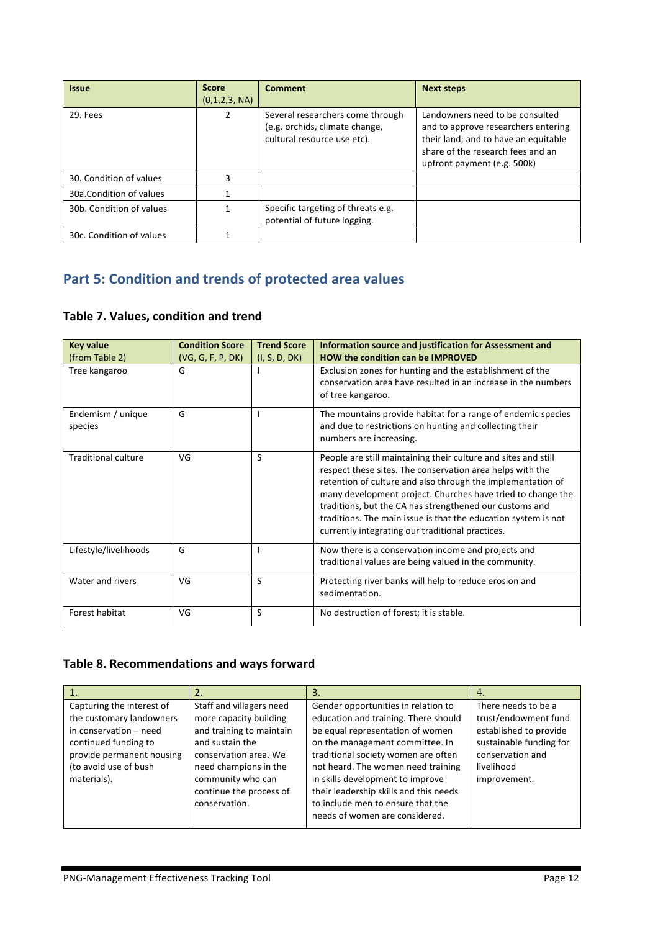| <b>Issue</b>             | <b>Score</b><br>(0,1,2,3, NA) | <b>Comment</b>                                                                                    | <b>Next steps</b>                                                                                                                                                                  |
|--------------------------|-------------------------------|---------------------------------------------------------------------------------------------------|------------------------------------------------------------------------------------------------------------------------------------------------------------------------------------|
| 29. Fees                 | 2                             | Several researchers come through<br>(e.g. orchids, climate change,<br>cultural resource use etc). | Landowners need to be consulted<br>and to approve researchers entering<br>their land; and to have an equitable<br>share of the research fees and an<br>upfront payment (e.g. 500k) |
| 30. Condition of values  |                               |                                                                                                   |                                                                                                                                                                                    |
| 30a.Condition of values  |                               |                                                                                                   |                                                                                                                                                                                    |
| 30b. Condition of values |                               | Specific targeting of threats e.g.<br>potential of future logging.                                |                                                                                                                                                                                    |
| 30c. Condition of values |                               |                                                                                                   |                                                                                                                                                                                    |

# **Part 5: Condition and trends of protected area values**

#### **Table 7. Values, condition and trend**

| <b>Key value</b>             | <b>Condition Score</b> | <b>Trend Score</b> | Information source and justification for Assessment and                                                                                                                                                                                                                                                                                                                                                                                    |
|------------------------------|------------------------|--------------------|--------------------------------------------------------------------------------------------------------------------------------------------------------------------------------------------------------------------------------------------------------------------------------------------------------------------------------------------------------------------------------------------------------------------------------------------|
| (from Table 2)               | (VG, G, F, P, DK)      | (I, S, D, DK)      | <b>HOW the condition can be IMPROVED</b>                                                                                                                                                                                                                                                                                                                                                                                                   |
| Tree kangaroo                | G                      |                    | Exclusion zones for hunting and the establishment of the<br>conservation area have resulted in an increase in the numbers<br>of tree kangaroo.                                                                                                                                                                                                                                                                                             |
| Endemism / unique<br>species | G                      |                    | The mountains provide habitat for a range of endemic species<br>and due to restrictions on hunting and collecting their<br>numbers are increasing.                                                                                                                                                                                                                                                                                         |
| <b>Traditional culture</b>   | VG                     | S                  | People are still maintaining their culture and sites and still<br>respect these sites. The conservation area helps with the<br>retention of culture and also through the implementation of<br>many development project. Churches have tried to change the<br>traditions, but the CA has strengthened our customs and<br>traditions. The main issue is that the education system is not<br>currently integrating our traditional practices. |
| Lifestyle/livelihoods        | G                      |                    | Now there is a conservation income and projects and<br>traditional values are being valued in the community.                                                                                                                                                                                                                                                                                                                               |
| Water and rivers             | VG                     | S                  | Protecting river banks will help to reduce erosion and<br>sedimentation.                                                                                                                                                                                                                                                                                                                                                                   |
| Forest habitat               | VG                     | S                  | No destruction of forest; it is stable.                                                                                                                                                                                                                                                                                                                                                                                                    |

## Table 8. Recommendations and ways forward

|                                                                                                                                                                              | 2.                                                                                                                                                                                                                   | 3.                                                                                                                                                                                                                                                                                                                                                                                   | 4.                                                                                                                                                 |
|------------------------------------------------------------------------------------------------------------------------------------------------------------------------------|----------------------------------------------------------------------------------------------------------------------------------------------------------------------------------------------------------------------|--------------------------------------------------------------------------------------------------------------------------------------------------------------------------------------------------------------------------------------------------------------------------------------------------------------------------------------------------------------------------------------|----------------------------------------------------------------------------------------------------------------------------------------------------|
| Capturing the interest of<br>the customary landowners<br>in conservation - need<br>continued funding to<br>provide permanent housing<br>(to avoid use of bush<br>materials). | Staff and villagers need<br>more capacity building<br>and training to maintain<br>and sustain the<br>conservation area. We<br>need champions in the<br>community who can<br>continue the process of<br>conservation. | Gender opportunities in relation to<br>education and training. There should<br>be equal representation of women<br>on the management committee. In<br>traditional society women are often<br>not heard. The women need training<br>in skills development to improve<br>their leadership skills and this needs<br>to include men to ensure that the<br>needs of women are considered. | There needs to be a<br>trust/endowment fund<br>established to provide<br>sustainable funding for<br>conservation and<br>livelihood<br>improvement. |